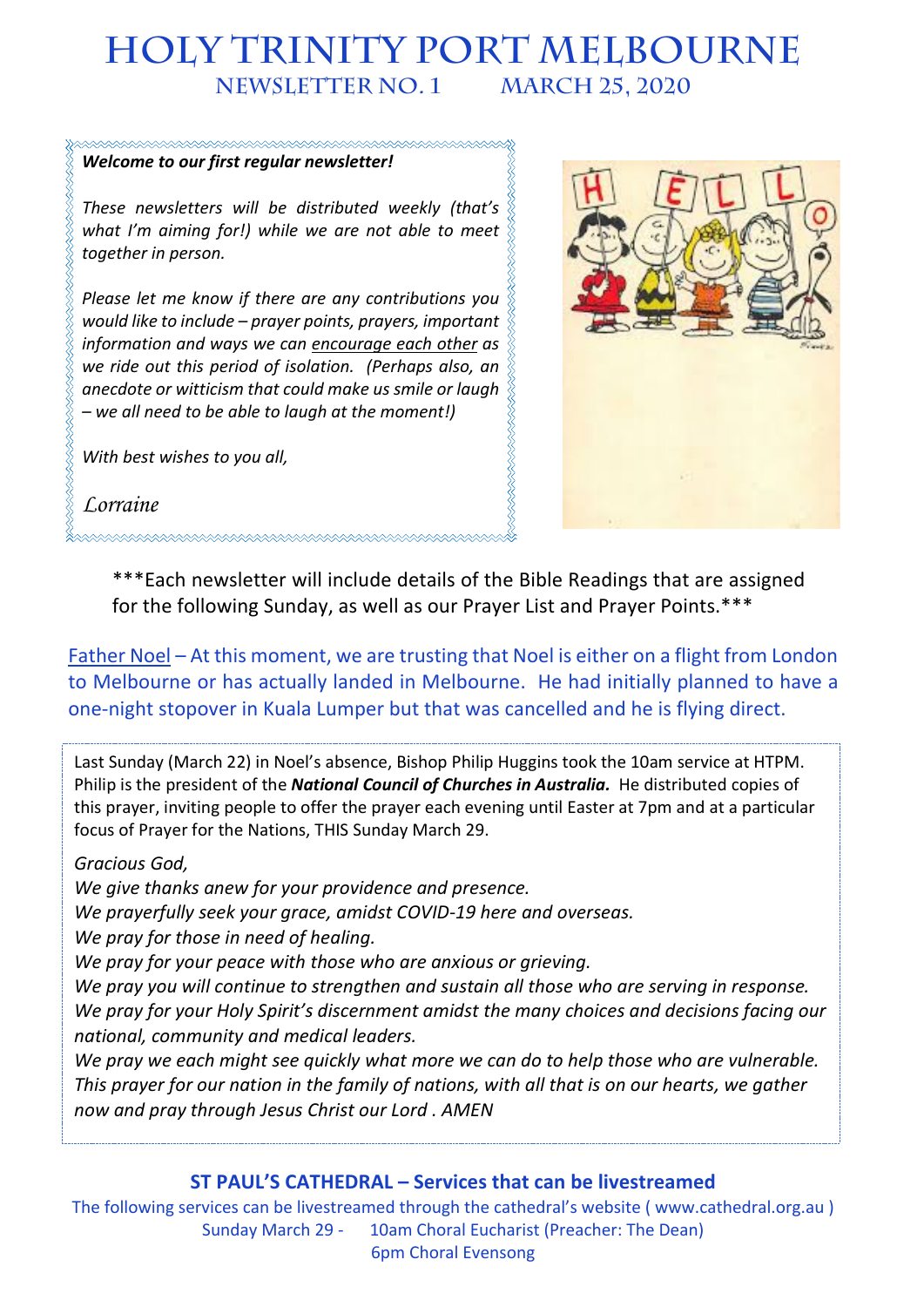# **HOLY TRINITY PORT MELBOURNE NEWSLETTER No. 1 March 25, 2020**

## *Welcome to our first regular newsletter!*

*These newsletters will be distributed weekly (that's what I'm aiming for!) while we are not able to meet together in person.*

*Please let me know if there are any contributions you would like to include – prayer points, prayers, important information and ways we can encourage each other as we ride out this period of isolation. (Perhaps also, an anecdote or witticism that could make us smile or laugh – we all need to be able to laugh at the moment!)*

*With best wishes to you all,*

*Lorraine*



\*\*\*Each newsletter will include details of the Bible Readings that are assigned for the following Sunday, as well as our Prayer List and Prayer Points.\*\*\*

Father Noel – At this moment, we are trusting that Noel is either on a flight from London to Melbourne or has actually landed in Melbourne. He had initially planned to have a one-night stopover in Kuala Lumper but that was cancelled and he is flying direct.

Last Sunday (March 22) in Noel's absence, Bishop Philip Huggins took the 10am service at HTPM. Philip is the president of the *National Council of Churches in Australia.* He distributed copies of this prayer, inviting people to offer the prayer each evening until Easter at 7pm and at a particular focus of Prayer for the Nations, THIS Sunday March 29.

#### *Gracious God,*

*We give thanks anew for your providence and presence.*

*We prayerfully seek your grace, amidst COVID-19 here and overseas.*

*We pray for those in need of healing.*

*We pray for your peace with those who are anxious or grieving.*

*We pray you will continue to strengthen and sustain all those who are serving in response. We pray for your Holy Spirit's discernment amidst the many choices and decisions facing our national, community and medical leaders.*

*We pray we each might see quickly what more we can do to help those who are vulnerable. This prayer for our nation in the family of nations, with all that is on our hearts, we gather now and pray through Jesus Christ our Lord . AMEN*

### **ST PAUL'S CATHEDRAL – Services that can be livestreamed**

The following services can be livestreamed through the cathedral's website ( www.cathedral.org.au ) Sunday March 29 - 10am Choral Eucharist (Preacher: The Dean) 6pm Choral Evensong